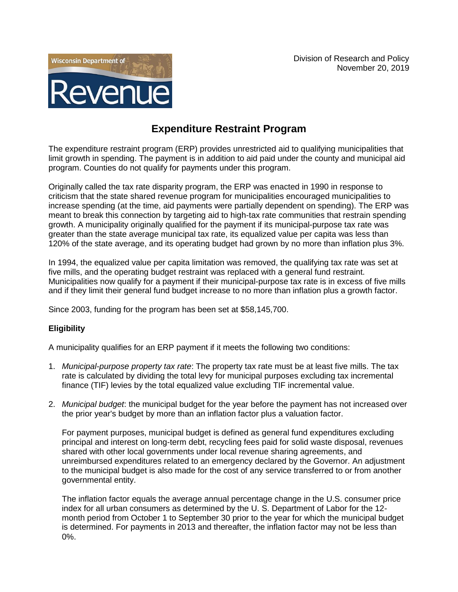

## **Expenditure Restraint Program**

The expenditure restraint program (ERP) provides unrestricted aid to qualifying municipalities that limit growth in spending. The payment is in addition to aid paid under the county and municipal aid program. Counties do not qualify for payments under this program.

Originally called the tax rate disparity program, the ERP was enacted in 1990 in response to criticism that the state shared revenue program for municipalities encouraged municipalities to increase spending (at the time, aid payments were partially dependent on spending). The ERP was meant to break this connection by targeting aid to high-tax rate communities that restrain spending growth. A municipality originally qualified for the payment if its municipal-purpose tax rate was greater than the state average municipal tax rate, its equalized value per capita was less than 120% of the state average, and its operating budget had grown by no more than inflation plus 3%.

In 1994, the equalized value per capita limitation was removed, the qualifying tax rate was set at five mills, and the operating budget restraint was replaced with a general fund restraint. Municipalities now qualify for a payment if their municipal-purpose tax rate is in excess of five mills and if they limit their general fund budget increase to no more than inflation plus a growth factor.

Since 2003, funding for the program has been set at \$58,145,700.

## **Eligibility**

A municipality qualifies for an ERP payment if it meets the following two conditions:

- 1. *Municipal-purpose property tax rate*: The property tax rate must be at least five mills. The tax rate is calculated by dividing the total levy for municipal purposes excluding tax incremental finance (TIF) levies by the total equalized value excluding TIF incremental value.
- 2. *Municipal budget*: the municipal budget for the year before the payment has not increased over the prior year's budget by more than an inflation factor plus a valuation factor.

For payment purposes, municipal budget is defined as general fund expenditures excluding principal and interest on long-term debt, recycling fees paid for solid waste disposal, revenues shared with other local governments under local revenue sharing agreements, and unreimbursed expenditures related to an emergency declared by the Governor. An adjustment to the municipal budget is also made for the cost of any service transferred to or from another governmental entity.

The inflation factor equals the average annual percentage change in the U.S. consumer price index for all urban consumers as determined by the U. S. Department of Labor for the 12 month period from October 1 to September 30 prior to the year for which the municipal budget is determined. For payments in 2013 and thereafter, the inflation factor may not be less than 0%.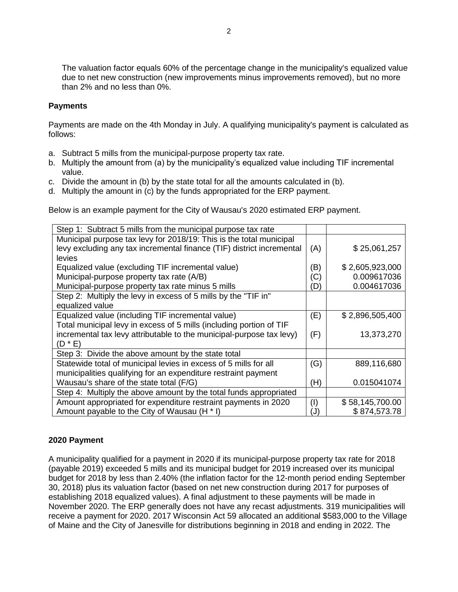The valuation factor equals 60% of the percentage change in the municipality's equalized value due to net new construction (new improvements minus improvements removed), but no more than 2% and no less than 0%.

## **Payments**

Payments are made on the 4th Monday in July. A qualifying municipality's payment is calculated as follows:

- a. Subtract 5 mills from the municipal-purpose property tax rate.
- b. Multiply the amount from (a) by the municipality's equalized value including TIF incremental value.
- c. Divide the amount in (b) by the state total for all the amounts calculated in (b).
- d. Multiply the amount in (c) by the funds appropriated for the ERP payment.

Below is an example payment for the City of Wausau's 2020 estimated ERP payment.

| Step 1: Subtract 5 mills from the municipal purpose tax rate          |     |                 |
|-----------------------------------------------------------------------|-----|-----------------|
| Municipal purpose tax levy for 2018/19: This is the total municipal   |     |                 |
| levy excluding any tax incremental finance (TIF) district incremental | (A) | \$25,061,257    |
| levies                                                                |     |                 |
| Equalized value (excluding TIF incremental value)                     | (B) | \$2,605,923,000 |
| Municipal-purpose property tax rate (A/B)                             | (C) | 0.009617036     |
| Municipal-purpose property tax rate minus 5 mills                     | (D) | 0.004617036     |
| Step 2: Multiply the levy in excess of 5 mills by the "TIF in"        |     |                 |
| equalized value                                                       |     |                 |
| Equalized value (including TIF incremental value)                     | (E) | \$2,896,505,400 |
| Total municipal levy in excess of 5 mills (including portion of TIF   |     |                 |
| incremental tax levy attributable to the municipal-purpose tax levy)  | (F) | 13,373,270      |
| $(D * E)$                                                             |     |                 |
| Step 3: Divide the above amount by the state total                    |     |                 |
| Statewide total of municipal levies in excess of 5 mills for all      | (G) | 889,116,680     |
| municipalities qualifying for an expenditure restraint payment        |     |                 |
| Wausau's share of the state total (F/G)                               | (H) | 0.015041074     |
| Step 4: Multiply the above amount by the total funds appropriated     |     |                 |
| Amount appropriated for expenditure restraint payments in 2020        | (1) | \$58,145,700.00 |
| Amount payable to the City of Wausau (H * I)                          | (J) | \$874,573.78    |

## **2020 Payment**

A municipality qualified for a payment in 2020 if its municipal-purpose property tax rate for 2018 (payable 2019) exceeded 5 mills and its municipal budget for 2019 increased over its municipal budget for 2018 by less than 2.40% (the inflation factor for the 12-month period ending September 30, 2018) plus its valuation factor (based on net new construction during 2017 for purposes of establishing 2018 equalized values). A final adjustment to these payments will be made in November 2020. The ERP generally does not have any recast adjustments. 319 municipalities will receive a payment for 2020. 2017 Wisconsin Act 59 allocated an additional \$583,000 to the Village of Maine and the City of Janesville for distributions beginning in 2018 and ending in 2022. The